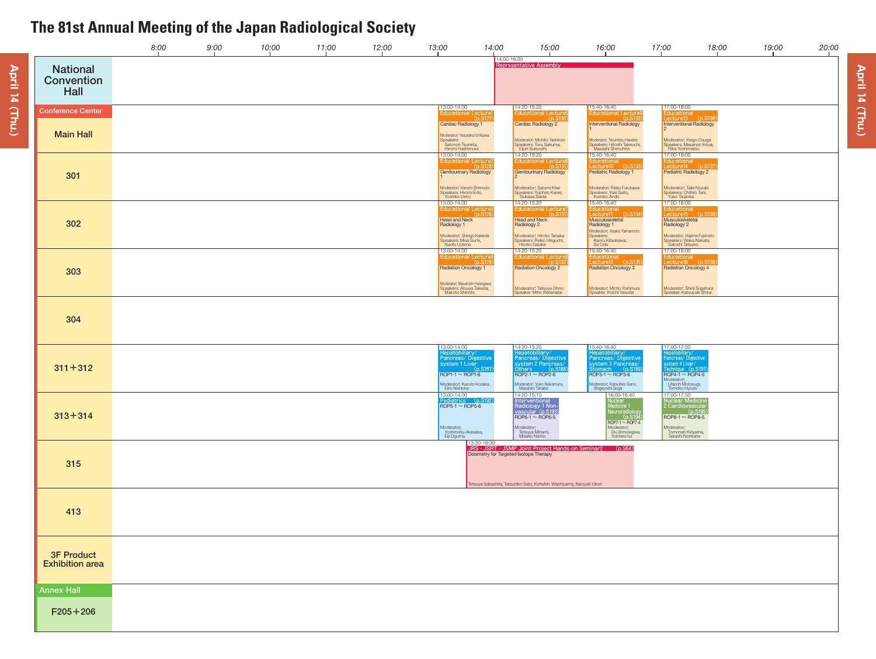|                                             | 8:00 | 9:00 | 10:00 | 11:00 | 12:00 | 13:00                                                                                               | 14:00                                   | 15:00                                                                                                                                                 | 16:00                                                                                                                 | 17:00                                                                                                                 | 18:00                                                                                                        | 19:00 | 20:00 |
|---------------------------------------------|------|------|-------|-------|-------|-----------------------------------------------------------------------------------------------------|-----------------------------------------|-------------------------------------------------------------------------------------------------------------------------------------------------------|-----------------------------------------------------------------------------------------------------------------------|-----------------------------------------------------------------------------------------------------------------------|--------------------------------------------------------------------------------------------------------------|-------|-------|
| <b>National</b><br>Convention<br>Hall       |      |      |       |       |       |                                                                                                     |                                         | 14:00-16:30<br>Representative Assembly                                                                                                                |                                                                                                                       |                                                                                                                       |                                                                                                              |       |       |
| <b>Conference Center</b>                    |      |      |       |       |       | 13:00-14:00                                                                                         | Educational Lecture1                    | 14:20-15:20<br>Educational Lecture5                                                                                                                   | 15:40-16:40<br>Educational Lecture9                                                                                   | 17:00-18:00<br><b>Educational</b>                                                                                     |                                                                                                              |       |       |
| <b>Main Hall</b>                            |      |      |       |       |       | Cardiac Radiology 1<br>Moderator: Yasutaka Ichikawa<br>Speakers:<br>Satonori Tsuneta,               | (D.S127)                                | nS <sub>130</sub><br>Cardiac Radiology 2<br>Moderator: Michiko Tadokoro<br>Speakers: Toru Sakuma,<br>Eijun Sueyoshi                                   | <b>Interventional Radiology</b><br>Moderator: Terumitsu Hasebe<br>Speakers: Hitoshi Takeuchi,<br>Masashi Shimohira    |                                                                                                                       | Lecture13 (p.S136)<br><b>Interventional Radiology</b><br>Moderator: Keigo Osuga<br>Speakers: Masanori Inoue, |       |       |
| 301                                         |      |      |       |       |       | Hiromi Hashimura<br>13:00-14:00<br><b>Genitourinary Radiology</b>                                   | <b>Educational Lecture2</b><br>(nS12)   | 14:20-15:20<br><b>Educational Lectures</b><br>(nS131)<br>Genitourinary Radiology                                                                      | 15:40-16:40<br>Educational<br>Lecture10 (p.S133)<br>Pediatric Radiology 1                                             | Rika Yoshimatsu<br><b>Pediatric Radiology 2</b>                                                                       | 17:00-18:00<br>Educational<br>Lecture14 (p.S137)                                                             |       |       |
|                                             |      |      |       |       |       | Moderator: Hiroshi Shinmoto<br>Speakers: Hiromi Edo,<br>Yoshiko Ueno<br>13:00-14:00                 |                                         | Moderator: Satomi Kitai<br>Speakers: Yuichiro Kanie,<br>Tsukasa Saida<br>14:20-15:20                                                                  | Moderator: Rieko Furukawa<br>Speakers: Yuki Saito,<br>Kumiko Ando<br>15:40-16:40                                      | Moderator: Taiki Nozaki<br>Speakers: Chihiro Tani,<br>Yuko Tsujioka<br>17:00-18:00                                    |                                                                                                              |       |       |
| 302                                         |      |      |       |       |       | <b>Head and Neck</b><br>Radiology 1                                                                 | Educational Lecture3<br>(p.S128)        | Educational Lecture7<br>(p.S131)<br><b>Head and Neck</b><br>Radiology 2                                                                               | Educational<br>Lecture11 (p.S134)<br>Musculoskeletal<br>Radiology 1<br>Moderator: Asako Yamamoto<br>Speakers:         | Musculoskeletal<br>Radiology 2                                                                                        | Educational<br>Lecture15 (p.S138)                                                                            |       |       |
|                                             |      |      |       |       |       | Moderator: Shingo Kakeda<br>Speakers: Misa Sumi,<br>Naoto Uyama<br>13:00-14:00                      | <b>Educational Lecture4</b><br>(p.S129) | Moderator: Hiroko Tanaka<br>Speakers: Reiko Ideguchi,<br>Hiroko Satake<br>14:20-15:20<br><b>Educational Lecture</b><br>(n.5132)                       | Kaoru Kitsukawa,<br>So Ode<br>15:40-16:40<br>Educational<br>Lecture12 (p.S135)                                        | Satoshi Tatsuno<br>17:00-18:00                                                                                        | Moderator: Hajime Fujimoto<br>Speakers: Waka Nakata,<br>Educational<br>Lecture16 (p.S138                     |       |       |
| 303                                         |      |      |       |       |       | Radiation Oncology 1<br>Moderator: Masatoshi Hasegawa<br>Speakers: Atsuya Takeda,<br>Makoto Shinoto |                                         | Radiation Oncology 2                                                                                                                                  | <b>Radiation Oncology 3</b><br>Moderator: Michio Yoshimura                                                            | <b>Radiation Oncology 4</b>                                                                                           |                                                                                                              |       |       |
|                                             |      |      |       |       |       |                                                                                                     |                                         | Moderator: Tatsuya Ohno<br>Speaker: Miho Watanabe                                                                                                     | Speaker: Koichi Yasuda                                                                                                |                                                                                                                       | Moderator: Shinji Sugahara<br>Speaker: Katsuyuki Shirai                                                      |       |       |
| 304                                         |      |      |       |       |       |                                                                                                     |                                         |                                                                                                                                                       |                                                                                                                       |                                                                                                                       |                                                                                                              |       |       |
| $311 + 312$                                 |      |      |       |       |       | 13:00-14:00<br>epatobiliary/<br>system 1 Liver<br>$ROP1-1 \sim ROP1-6$                              | Pancreas/Digestive<br>(p.S187           | 14:20-15:20<br><i><u><b>Hepatobiliary/</b></u></i><br>Pancreas/Digestive<br>system 2 Pancreas/<br>Others (p.S18<br>$ROP2-1 \sim ROP2-6$               | 15:40-16:40<br>Hepatobiliary/<br>Pancreas/Digestive<br>system 3 Pancreas/<br>Stomach (p.S189)<br>$ROP3-1 \sim ROP3-6$ | 17:00-17:50<br>-lepatobiliary/<br>Pancreas/Digestive<br>system 4 Liver/<br>Technique (p.S191)<br>$ROP4-1 \sim ROP4-5$ |                                                                                                              |       |       |
|                                             |      |      |       |       |       | Moderator: Kazuto Kozaka,<br>Eiko Nishioka<br>13:00-14:00<br>Pediatrics (p.S192)<br>ROP5-1 ~ ROP5-6 |                                         | Moderator: Yuko Nakamura,<br>Masahiro Tanabe<br>14:20-15:10                                                                                           | Moderator: Katsuhiro Sano,<br>Shigeyoshi Soga<br>16:00-16:40                                                          | Moderator:<br>Utaroh Motosugi,<br>Tomoko Hyodo<br>17:00-17:50                                                         |                                                                                                              |       |       |
| $313 + 314$                                 |      |      |       |       |       | Moderator:                                                                                          |                                         | Interventional<br>Radiology <sub>1</sub> Non-<br>vascular (p.S193<br>$ROP6-1 \sim ROP6-5$                                                             | Nuclear<br>Medicine 1<br>Neuroradiolog<br>p.S19)<br>$ROP7-1 \sim ROP7-4$<br>Moderator:                                | Nuclear Medicine<br>2 Cardiovascular<br>$ROP8-1 \sim ROP8-5$                                                          | D.S19                                                                                                        |       |       |
|                                             |      |      |       |       |       | Yoshinobu Akasaka,<br>Eiji Oguma                                                                    | 13:30-16:30                             | Moderator:<br>Tetsuya Minami,<br>Misako Nishio<br>JRS · JSRT · JSMP Joint Project Hands-on Seminar2 (p.S64)<br>Dosimetry for Targeted Isotope Therapy | Eku Shimosegawa,<br>Yoshitaka Inui                                                                                    | Moderator:<br>Tomonari Kiriyama,<br>Takashi Norikane                                                                  |                                                                                                              |       |       |
| 315                                         |      |      |       |       |       |                                                                                                     |                                         | Tetsuya Sakashita, Tatsuhiko Sato, Kohshin Washiyama, Naoyuki Ukon                                                                                    |                                                                                                                       |                                                                                                                       |                                                                                                              |       |       |
| 413                                         |      |      |       |       |       |                                                                                                     |                                         |                                                                                                                                                       |                                                                                                                       |                                                                                                                       |                                                                                                              |       |       |
|                                             |      |      |       |       |       |                                                                                                     |                                         |                                                                                                                                                       |                                                                                                                       |                                                                                                                       |                                                                                                              |       |       |
| <b>3F Product</b><br><b>Exhibition area</b> |      |      |       |       |       |                                                                                                     |                                         |                                                                                                                                                       |                                                                                                                       |                                                                                                                       |                                                                                                              |       |       |
|                                             |      |      |       |       |       |                                                                                                     |                                         |                                                                                                                                                       |                                                                                                                       |                                                                                                                       |                                                                                                              |       |       |
| <b>Annex Hall</b>                           |      |      |       |       |       |                                                                                                     |                                         |                                                                                                                                                       |                                                                                                                       |                                                                                                                       |                                                                                                              |       |       |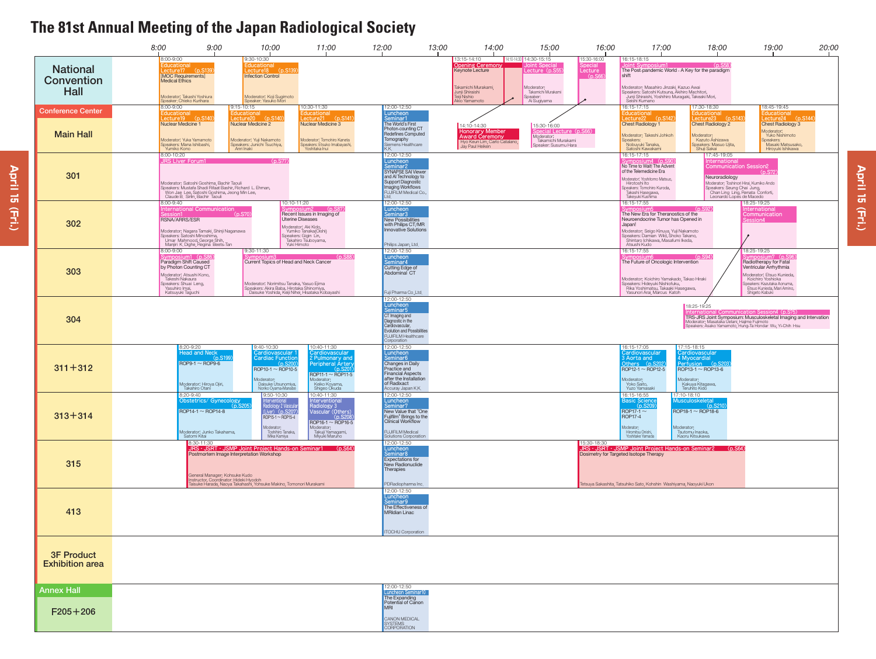|                                              | 8:00                                                                                         | 9:00                                                                                                                                                                        | 10:00                                                                                                                                                                   | 11:00                                                                                                                                                                                                        | 12:00                                                                                                                                                                                        | 13:00 | 14:00                                                                                                                         | 15:00                                                                                                    | 16:00                            | 17:00                                                                                                                                                                                                                                       | 18:00                                                                                                                                                     | 19:00                                                                                                                                                                                                                | 20:00 |
|----------------------------------------------|----------------------------------------------------------------------------------------------|-----------------------------------------------------------------------------------------------------------------------------------------------------------------------------|-------------------------------------------------------------------------------------------------------------------------------------------------------------------------|--------------------------------------------------------------------------------------------------------------------------------------------------------------------------------------------------------------|----------------------------------------------------------------------------------------------------------------------------------------------------------------------------------------------|-------|-------------------------------------------------------------------------------------------------------------------------------|----------------------------------------------------------------------------------------------------------|----------------------------------|---------------------------------------------------------------------------------------------------------------------------------------------------------------------------------------------------------------------------------------------|-----------------------------------------------------------------------------------------------------------------------------------------------------------|----------------------------------------------------------------------------------------------------------------------------------------------------------------------------------------------------------------------|-------|
| <b>National</b><br>Convention<br><b>Hall</b> | 8:00-9:00<br>[MOC Requirements]<br><b>Medical Ethics</b>                                     | Éducational<br><u>_ectu</u> re17      (p.S139)<br>Moderator: Takashi Yoshiura<br>Speaker: Chieko Kurihara                                                                   | 9:30-10:30<br>ecture18 (p.S139<br><b>Infection Control</b><br>Moderator: Koji Sugimoto<br>Speaker: Yasuko Mori                                                          |                                                                                                                                                                                                              |                                                                                                                                                                                              |       | 13:15-14:10<br>Opening Ceremony<br>Keynote Lecture<br>Takamichi Murakami,<br>Junji Shiraishi<br>Teiji Nishio<br>Akio Yamamoto | 14:10-14:30 14:30-15:15<br>Lecture (p.S55<br>Moderator:<br>Takamichi Murakami<br>Speaker:<br>Ai Sugiyama | 15:30-16:00<br>ecture<br>(p.566) | 16:15-18:15<br>The Post-pandemic World - A Key for the paradigm<br>shift<br>Moderator: Masahiro Jinzaki, Kazuo Awai<br>Speakers: Satoshi Kutsuna, Akihiro Machitori,<br>Junji Shiraishi, Yoshihiro Muragaki, Takeaki Mori,<br>Seishi Kumano | (n.558)                                                                                                                                                   |                                                                                                                                                                                                                      |       |
| <b>Conference Center</b><br><b>Main Hall</b> | 8:00-9:00<br>ducational<br>Nuclear Medicine 1<br>Yumiko Kono                                 | $ecture19$ $(p.\overline{S140})$<br>Moderator: Yuka Yamamoto<br>Speakers: Mana Ishibashi,                                                                                   | 9:15-10:15<br>ducational<br>ecture20 (p.S140)<br>Nuclear Medicine 2<br>Moderator: Yuji Nakamoto<br>Speakers; Junichi Tsuchiya,<br>Anri Inaki                            | 10:30-11:30<br>ducational<br>$ecture21$ $(n. S141)$<br>Nuclear Medicine 3<br>Moderator: Tomohiro Kaneta<br>Speakers; Etsuko Imabayashi,<br>Yoshitaka Inui                                                    | 12:00-12:50<br>Luncheon<br>Seminar1<br>The World's First<br>Photon-counting CT<br><b>Redefines Computed</b><br>Tomography<br>Siemens Healthcare<br>K.K.                                      |       | 14:10-14:30<br><b>Honorary Member</b><br><b>Award Ceremony</b><br>Hyo Keun Lim, Carlo Catalano,<br>Jay Paul Heiken            | 15:30-16:00<br>pecial Lecture (p.S66)<br>Moderator:<br>Takamichi Murakami<br>Speaker: Susumu Hara        |                                  | 16:15-17:15<br>:ducational<br>$ecture22$ $(p.\overline{S142})$<br><b>Chest Radiology 1</b><br>Moderator: Takeshi Johkoh<br>Speakers:<br>Nobuyuki Tanaka,<br>Satoshi Kawakami                                                                | 17:30-18:30<br>ducational<br>$Lecture23$ $(n.5143)$<br><b>Chest Radiology 2</b><br>Moderator:<br>Kazuto Ashizawa<br>Speakers; Masuo Ujita,<br>Shuji Sakai | 18:45-19:45<br>:ducational<br>Lecture24 (p.S144)<br><b>Chest Radiology 3</b><br>Moderator:<br>Yuko Nishimoto<br>Speakers:<br>Masaki Matsusako,<br>Hiroyuki Ishikawa                                                  |       |
| 301                                          | 8:00-10:20                                                                                   | JRS Liver Forum1<br>Won Jae Lee, Satoshi Goshima, Jeong Min Lee,<br>Claude B. Sirlin, Bachir Taouli                                                                         | (p.S77)<br>Moderator: Satoshi Goshima, Bachir Taouli<br>Speakers: Mustafa Shadi Rifaat Bashir, Richard L. Ehman,                                                        |                                                                                                                                                                                                              | 12:00-12:50<br>Luncheon<br>Seminar2<br>SYNAPSE SAI Viewer<br>and AI Technology to<br>Support Diagnostic<br><b>Imaging Workflows</b><br>FUJIFILM Medical Co.,                                 |       |                                                                                                                               |                                                                                                          |                                  | 16:15-17:15<br>ymposium4 (p.S90)<br>No Time to Wait! The Advent<br>of the Telemedicine Era<br>Moderator: Yoshitomo Matsuo,<br>Hirotoshi Ito<br>Speakers: Tomohiro Kuroda,<br>Takashi Hasegawa,<br>Takeyuki Kushima                          | 17:45-19:05<br>hternational<br><b>Communication Session2</b><br>Neuroradiology<br>Leonardo Lopes de Macedo                                                | Moderator: Toshinori Hirai, Kumiko Ando<br>Speakers: Seung Chai Jung,<br>Chan Ling Ling, Renata Conforti,                                                                                                            |       |
| 302                                          | 8:00-9:40<br>RSNA/ARRS/ESR                                                                   | nternational Communication<br>Moderator: Nagara Tamaki, Shinji Naganawa<br>Speakers: Satoshi Minoshima,<br>Umar Mahmood, George Shih,<br>Manjiri K. Dighe, Regina Beets-Tan | (p.S70                                                                                                                                                                  | 10:10-11:20<br>symposium2<br>(p.S87)<br>Recent Issues in Imaging of<br><b>Uterine Diseases</b><br>Moderator: Aki Kido,<br>Yumiko Tanaka(Oishi)<br>Speakers: Gigin Lin,<br>Takahiro Tsuboyama,<br>Yuki Himoto | 12:00-12:50<br>Luncheon<br>Seminar3<br>New Possibilities<br>with Philips CT/MR<br><b>Innovative Solutions</b><br>Philips Japan, Ltd.                                                         |       |                                                                                                                               |                                                                                                          |                                  | 16:15-17:55<br>The New Era for Theranostics of the<br>Neuroendocrine Tumor has Opened in<br>Japan!<br>Moderator: Seigo Kinuya, Yuji Nakamoto<br>Speakers: Damian Wild, Shoko Takano,<br>Shintaro Ichikawa, Masafumi Ikeda,<br>Atsushi Kudo  | (p.S92)                                                                                                                                                   | 18:25-19:25<br>nternationa<br>Communication<br>ession4                                                                                                                                                               |       |
| 303                                          | 8:00-9:00<br>Takeshi Nakaura<br>Speakers: Shuai Leng,<br>Yasuhiro Imai,<br>Katsuyuki Taguchi | /mposium1 (p.S86<br>Paradigm Shift Caused<br>by Photon Counting CT<br>Moderator: Atsushi Kono,                                                                              | 9:30-11:30<br>Current Topics of Head and Neck Cancer<br>Moderator: Norimitsu Tanaka, Yasuo Ejima<br>Speakers: Akira Baba, Hirotaka Shinomiya,                           | (p. S88)<br>Daisuke Yoshida, Keiji Nihei, Hisataka Kobayashi                                                                                                                                                 | 12:00-12:50<br>Luncheon<br>Seminar4<br>Cutting Edge of<br>Abdominal CT<br>Fuji Pharma Co.,Ltd.                                                                                               |       |                                                                                                                               |                                                                                                          |                                  | 16:15-17:55<br>The Future of Oncologic Intervention<br>Moderator: Koichiro Yamakado, Takao Hiraki<br>Speakers: Hideyuki Nishiofuku,<br>Rika Yoshimatsu, Takaaki Hasegawa,<br>Yasunori Arai, Marcus Katoh                                    | (p.S94)                                                                                                                                                   | 18:25-19:25<br>ymposium7 (p.S96)<br>Radiotherapy for Fatal<br>Ventricular Arrhythmia<br>Moderator: Etsuo Kunieda,<br>Koichiro Yoshioka<br>Speakers: Kazutaka Aonuma,<br>Etsuo Kunieda, Mari Amino,<br>Shigeto Kabuki |       |
| 304                                          |                                                                                              |                                                                                                                                                                             |                                                                                                                                                                         |                                                                                                                                                                                                              | 12:00-12:50<br>Luncheon<br>Seminar5<br>CT Imaging and<br>Diagnostic in the<br>Cardiovascular,<br><b>Evolution and Possibilities</b><br><b>FUJIFILM Healthcare</b><br>Corporation             |       |                                                                                                                               |                                                                                                          |                                  |                                                                                                                                                                                                                                             | 18:25-19:25                                                                                                                                               | ion4 (p.S75)<br>TRS-JRS Joint Symposium: Musculoskeletal Imaging and Intervation<br>Moderator: Masataka Uetani, Hajime Fujimoto<br>Speakers: Asako Yamamoto, Hung-Ta Hondar Wu, Yi-Chih Hsu                          |       |
| $311 + 312$                                  |                                                                                              | 8:20-9:20<br>lead and Neck<br>$ROP9-1 \sim ROP9-6$<br>Moderator: Hiroya Ojiri,<br>Takahiro Otani                                                                            | 9:40-10:30<br>Cardiovascular .<br><b>Cardiac Function</b><br>$ROP10-1 \sim ROP10-5$<br>Moderator:<br>Daisuke Utsunomiya,<br>Noriko Oyama-Manabe                         | 10:40-11:30<br>Cardiovascular<br>? Pulmonary and<br><b>Peripheral Arter</b><br>$ROP11-1 \sim ROP11-5$<br>Moderator:<br>Keiko Koyama,<br>Shigeo Okuda                                                         | 12:00-12:50<br>Luncheon<br>Seminar <sub>6</sub><br><b>Changes in Daily</b><br><b>Practice and</b><br><b>Financial Aspects</b><br>after the Installation<br>of Radixact<br>Accuray Japan K.K. |       |                                                                                                                               |                                                                                                          |                                  | 16:15-17:05<br>Cardiovascular<br>3 Aorta and<br>Others (p.S2<br>ROP12-1 $\sim$ ROP12-5<br>Moderator:<br>Yoko Saito,<br>Yuzo Yamasaki                                                                                                        | 17:15-18:15<br>ardiovascular<br>4 Myocardial<br>Perfusion (p.S2<br>ROP13-1 $\sim$ ROP13-6<br>Moderator:<br>Kakuya Kitagawa,<br>Teruhito Kido              |                                                                                                                                                                                                                      |       |
| $313 + 314$                                  |                                                                                              | 8:20-9:40<br>Obstetrics/ Gynecology<br>$ROP14-1 \sim ROP14-8$<br>Moderator: Junko Takahama,                                                                                 | 9:50-10:30<br>Interventional<br>Radiology 2 Vascula<br>(Liver) (p.S207)<br>$ROP15-1 \sim ROP15-4$<br>Moderator:<br>Toshihiro Tanaka,                                    | 10:40-11:30<br>Interventional<br>Radiology 3<br>Vascular (Others<br>(n.S20)<br>$ROP16-1 \sim ROP16-5$<br>Moderator:<br>Takuji Yamagami,                                                                      | 12:00-12:50<br>Luncheon<br>Seminar7<br>New Value that "One<br>Fujifilm" Brings to the<br><b>Clinical Workflow</b><br><b>FUJIFILM Medical</b>                                                 |       |                                                                                                                               |                                                                                                          |                                  | 16:15-16:55<br><b>Basic Science</b><br>(p.S20<br>$ROP17-1 \sim$<br><b>ROP17-4</b><br>Moderator:<br>Hiromitsu Onishi,                                                                                                                        | 17:10-18:10<br><b>Musculoskeletal</b><br>$ROP18-1 \sim ROP18-6$<br>Moderator:<br>Tsutomu Inaoka,                                                          |                                                                                                                                                                                                                      |       |
| 315                                          |                                                                                              | Satomi Kitai<br>8:30-11:30<br>General Manager: Kohsuke Kudo                                                                                                                 | Mika Kamiya<br>Postmortem Image Interpretation Workshop<br>Instructor, Coordinator: Hideki Hyodoh<br>Taisuke Harada, Naoya Takahashi, Yohsuke Makino, Tomonori Murakami | Miyuki Maruno<br>JRS · JSRT · JSMP Joint Project Hands-on Seminar1 (p.S64)                                                                                                                                   | Solutions Corporation<br>12:00-12:50<br>Luncheon<br>Seminar <sub>8</sub><br><b>Expectations for</b><br>New Radionuclide<br>Therapies<br>PDRadiopharma Inc.                                   |       |                                                                                                                               |                                                                                                          | 15:30-18:30                      | Yoshitake Yamada<br>Dosimetry for Targeted Isotope Therapy<br>Tetsuya Sakashita, Tatsuhiko Sato, Kohshin Washiyama, Naoyuki Ukon                                                                                                            | Kaoru Kitsukawa<br>JRS · JSRT · JSMP Joint Project Hands-on Seminar2 (p.S64)                                                                              |                                                                                                                                                                                                                      |       |
| 413                                          |                                                                                              |                                                                                                                                                                             |                                                                                                                                                                         |                                                                                                                                                                                                              | 12:00-12:50<br>Luncheon<br>Seminar9<br>The Effectiveness of<br><b>MRIdian Linac</b><br><b>ITOCHU Corporation</b>                                                                             |       |                                                                                                                               |                                                                                                          |                                  |                                                                                                                                                                                                                                             |                                                                                                                                                           |                                                                                                                                                                                                                      |       |
| <b>3F Product</b><br><b>Exhibition area</b>  |                                                                                              |                                                                                                                                                                             |                                                                                                                                                                         |                                                                                                                                                                                                              |                                                                                                                                                                                              |       |                                                                                                                               |                                                                                                          |                                  |                                                                                                                                                                                                                                             |                                                                                                                                                           |                                                                                                                                                                                                                      |       |
| <b>Annex Hall</b><br>$F205 + 206$            |                                                                                              |                                                                                                                                                                             |                                                                                                                                                                         |                                                                                                                                                                                                              | 12:00-12:50<br>uncheon Seminar10<br>The Expanding<br>Potential of Canon<br><b>MRI</b><br>CANON MEDICAL<br>SYSTEMS<br>CORPORATION                                                             |       |                                                                                                                               |                                                                                                          |                                  |                                                                                                                                                                                                                                             |                                                                                                                                                           |                                                                                                                                                                                                                      |       |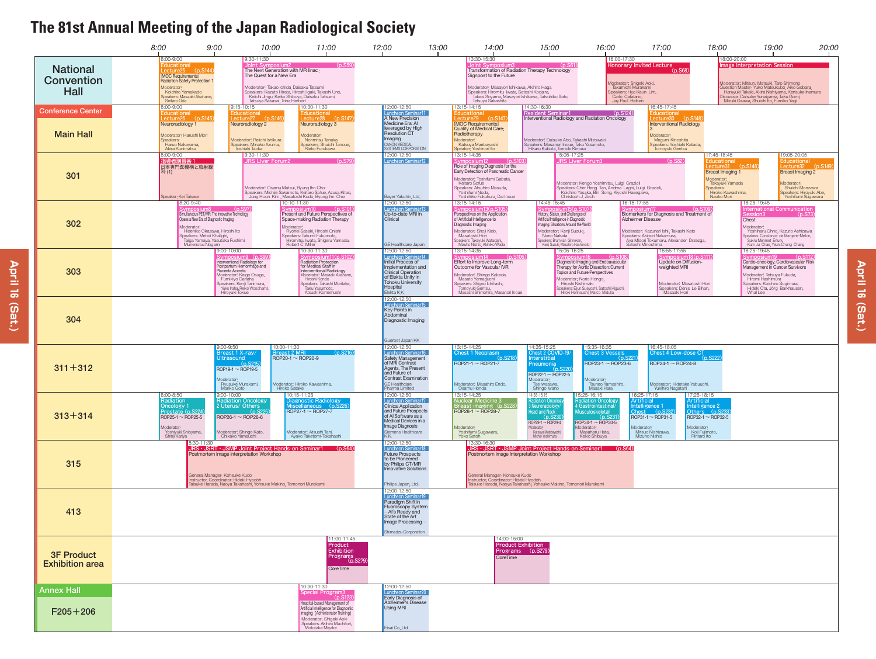**April 16 (Sat.)**

 $\vec{a}$ 

(Sat.)

**April** 



**April April 16 (Sat.)**ಹ (Sat.)